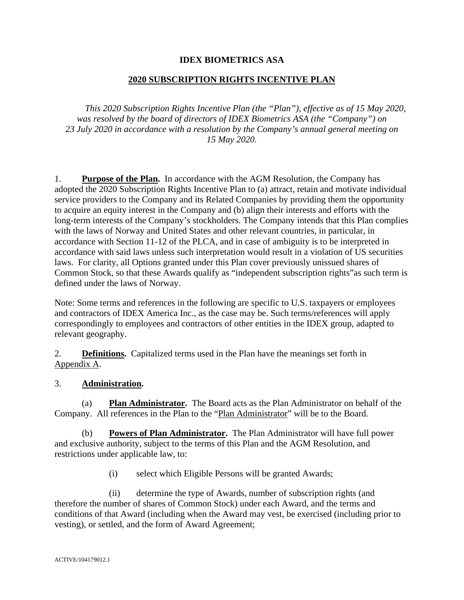### **IDEX BIOMETRICS ASA**

#### **2020 SUBSCRIPTION RIGHTS INCENTIVE PLAN**

*This 2020 Subscription Rights Incentive Plan (the "Plan"), effective as of 15 May 2020, was resolved by the board of directors of IDEX Biometrics ASA (the "Company") on 23 July 2020 in accordance with a resolution by the Company's annual general meeting on 15 May 2020.*

1. **Purpose of the Plan.** In accordance with the AGM Resolution, the Company has adopted the 2020 Subscription Rights Incentive Plan to (a) attract, retain and motivate individual service providers to the Company and its Related Companies by providing them the opportunity to acquire an equity interest in the Company and (b) align their interests and efforts with the long-term interests of the Company's stockholders. The Company intends that this Plan complies with the laws of Norway and United States and other relevant countries, in particular, in accordance with Section 11-12 of the PLCA, and in case of ambiguity is to be interpreted in accordance with said laws unless such interpretation would result in a violation of US securities laws. For clarity, all Options granted under this Plan cover previously unissued shares of Common Stock, so that these Awards qualify as "independent subscription rights"as such term is defined under the laws of Norway.

Note: Some terms and references in the following are specific to U.S. taxpayers or employees and contractors of IDEX America Inc., as the case may be. Such terms/references will apply correspondingly to employees and contractors of other entities in the IDEX group, adapted to relevant geography.

2. **Definitions.** Capitalized terms used in the Plan have the meanings set forth in Appendix A.

3. **Administration.**

<span id="page-0-0"></span>(a) **Plan Administrator.** The Board acts as the Plan Administrator on behalf of the Company. All references in the Plan to the "Plan Administrator" will be to the Board.

(b) **Powers of Plan Administrator.** The Plan Administrator will have full power and exclusive authority, subject to the terms of this Plan and the AGM Resolution, and restrictions under applicable law, to:

(i) select which Eligible Persons will be granted Awards;

(ii) determine the type of Awards, number of subscription rights (and therefore the number of shares of Common Stock) under each Award, and the terms and conditions of that Award (including when the Award may vest, be exercised (including prior to vesting), or settled, and the form of Award Agreement;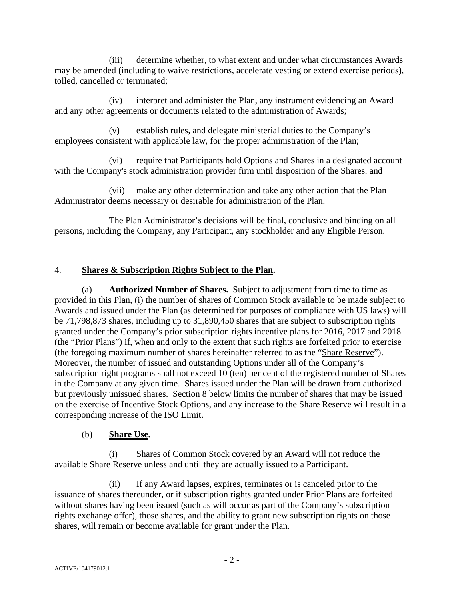(iii) determine whether, to what extent and under what circumstances Awards may be amended (including to waive restrictions, accelerate vesting or extend exercise periods), tolled, cancelled or terminated;

(iv) interpret and administer the Plan, any instrument evidencing an Award and any other agreements or documents related to the administration of Awards;

(v) establish rules, and delegate ministerial duties to the Company's employees consistent with applicable law, for the proper administration of the Plan;

(vi) require that Participants hold Options and Shares in a designated account with the Company's stock administration provider firm until disposition of the Shares. and

(vii) make any other determination and take any other action that the Plan Administrator deems necessary or desirable for administration of the Plan.

The Plan Administrator's decisions will be final, conclusive and binding on all persons, including the Company, any Participant, any stockholder and any Eligible Person.

## 4. **Shares & Subscription Rights Subject to the Plan.**

(a) **Authorized Number of Shares.** Subject to adjustment from time to time as provided in this Plan, (i) the number of shares of Common Stock available to be made subject to Awards and issued under the Plan (as determined for purposes of compliance with US laws) will be 71,798,873 shares, including up to 31,890,450 shares that are subject to subscription rights granted under the Company's prior subscription rights incentive plans for 2016, 2017 and 2018 (the "Prior Plans") if, when and only to the extent that such rights are forfeited prior to exercise (the foregoing maximum number of shares hereinafter referred to as the "Share Reserve"). Moreover, the number of issued and outstanding Options under all of the Company's subscription right programs shall not exceed 10 (ten) per cent of the registered number of Shares in the Company at any given time. Shares issued under the Plan will be drawn from authorized but previously unissued shares. Section 8 below limits the number of shares that may be issued on the exercise of Incentive Stock Options, and any increase to the Share Reserve will result in a corresponding increase of the ISO Limit.

### (b) **Share Use.**

(i) Shares of Common Stock covered by an Award will not reduce the available Share Reserve unless and until they are actually issued to a Participant.

(ii) If any Award lapses, expires, terminates or is canceled prior to the issuance of shares thereunder, or if subscription rights granted under Prior Plans are forfeited without shares having been issued (such as will occur as part of the Company's subscription rights exchange offer), those shares, and the ability to grant new subscription rights on those shares, will remain or become available for grant under the Plan.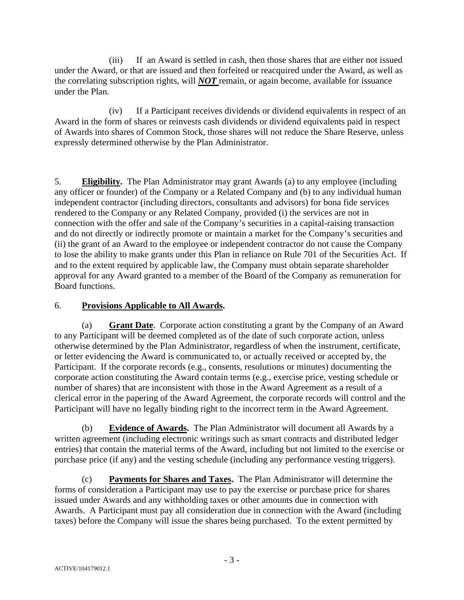(iii) If an Award is settled in cash, then those shares that are either not issued under the Award, or that are issued and then forfeited or reacquired under the Award, as well as the correlating subscription rights, will *NOT* remain, or again become, available for issuance under the Plan.

(iv) If a Participant receives dividends or dividend equivalents in respect of an Award in the form of shares or reinvests cash dividends or dividend equivalents paid in respect of Awards into shares of Common Stock, those shares will not reduce the Share Reserve, unless expressly determined otherwise by the Plan Administrator.

<span id="page-2-0"></span>5. **Eligibility.** The Plan Administrator may grant Awards (a) to any employee (including any officer or founder) of the Company or a Related Company and (b) to any individual human independent contractor (including directors, consultants and advisors) for bona fide services rendered to the Company or any Related Company, provided (i) the services are not in connection with the offer and sale of the Company's securities in a capital-raising transaction and do not directly or indirectly promote or maintain a market for the Company's securities and (ii) the grant of an Award to the employee or independent contractor do not cause the Company to lose the ability to make grants under this Plan in reliance on Rule 701 of the Securities Act. If and to the extent required by applicable law, the Company must obtain separate shareholder approval for any Award granted to a member of the Board of the Company as remuneration for Board functions.

### 6. **Provisions Applicable to All Awards.**

(a) **Grant Date**. Corporate action constituting a grant by the Company of an Award to any Participant will be deemed completed as of the date of such corporate action, unless otherwise determined by the Plan Administrator, regardless of when the instrument, certificate, or letter evidencing the Award is communicated to, or actually received or accepted by, the Participant. If the corporate records (e.g., consents, resolutions or minutes) documenting the corporate action constituting the Award contain terms (e.g., exercise price, vesting schedule or number of shares) that are inconsistent with those in the Award Agreement as a result of a clerical error in the papering of the Award Agreement, the corporate records will control and the Participant will have no legally binding right to the incorrect term in the Award Agreement.

(b) **Evidence of Awards.** The Plan Administrator will document all Awards by a written agreement (including electronic writings such as smart contracts and distributed ledger entries) that contain the material terms of the Award, including but not limited to the exercise or purchase price (if any) and the vesting schedule (including any performance vesting triggers).

(c) **Payments for Shares and Taxes.** The Plan Administrator will determine the forms of consideration a Participant may use to pay the exercise or purchase price for shares issued under Awards and any withholding taxes or other amounts due in connection with Awards. A Participant must pay all consideration due in connection with the Award (including taxes) before the Company will issue the shares being purchased. To the extent permitted by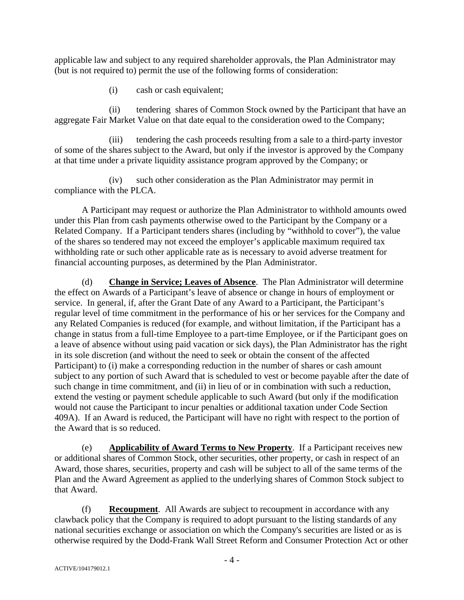applicable law and subject to any required shareholder approvals, the Plan Administrator may (but is not required to) permit the use of the following forms of consideration:

(i) cash or cash equivalent;

(ii) tendering shares of Common Stock owned by the Participant that have an aggregate Fair Market Value on that date equal to the consideration owed to the Company;

(iii) tendering the cash proceeds resulting from a sale to a third-party investor of some of the shares subject to the Award, but only if the investor is approved by the Company at that time under a private liquidity assistance program approved by the Company; or

(iv) such other consideration as the Plan Administrator may permit in compliance with the PLCA.

A Participant may request or authorize the Plan Administrator to withhold amounts owed under this Plan from cash payments otherwise owed to the Participant by the Company or a Related Company. If a Participant tenders shares (including by "withhold to cover"), the value of the shares so tendered may not exceed the employer's applicable maximum required tax withholding rate or such other applicable rate as is necessary to avoid adverse treatment for financial accounting purposes, as determined by the Plan Administrator.

(d) **Change in Service; Leaves of Absence**. The Plan Administrator will determine the effect on Awards of a Participant's leave of absence or change in hours of employment or service. In general, if, after the Grant Date of any Award to a Participant, the Participant's regular level of time commitment in the performance of his or her services for the Company and any Related Companies is reduced (for example, and without limitation, if the Participant has a change in status from a full-time Employee to a part-time Employee, or if the Participant goes on a leave of absence without using paid vacation or sick days), the Plan Administrator has the right in its sole discretion (and without the need to seek or obtain the consent of the affected Participant) to (i) make a corresponding reduction in the number of shares or cash amount subject to any portion of such Award that is scheduled to vest or become payable after the date of such change in time commitment, and (ii) in lieu of or in combination with such a reduction, extend the vesting or payment schedule applicable to such Award (but only if the modification would not cause the Participant to incur penalties or additional taxation under Code Section 409A). If an Award is reduced, the Participant will have no right with respect to the portion of the Award that is so reduced.

(e) **Applicability of Award Terms to New Property**. If a Participant receives new or additional shares of Common Stock, other securities, other property, or cash in respect of an Award, those shares, securities, property and cash will be subject to all of the same terms of the Plan and the Award Agreement as applied to the underlying shares of Common Stock subject to that Award.

(f) **Recoupment**. All Awards are subject to recoupment in accordance with any clawback policy that the Company is required to adopt pursuant to the listing standards of any national securities exchange or association on which the Company's securities are listed or as is otherwise required by the Dodd-Frank Wall Street Reform and Consumer Protection Act or other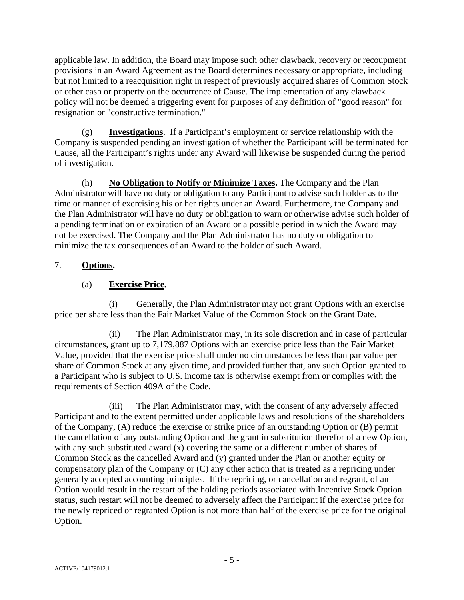applicable law. In addition, the Board may impose such other clawback, recovery or recoupment provisions in an Award Agreement as the Board determines necessary or appropriate, including but not limited to a reacquisition right in respect of previously acquired shares of Common Stock or other cash or property on the occurrence of Cause. The implementation of any clawback policy will not be deemed a triggering event for purposes of any definition of "good reason" for resignation or "constructive termination."

(g) **Investigations**. If a Participant's employment or service relationship with the Company is suspended pending an investigation of whether the Participant will be terminated for Cause, all the Participant's rights under any Award will likewise be suspended during the period of investigation.

(h) **No Obligation to Notify or Minimize Taxes.** The Company and the Plan Administrator will have no duty or obligation to any Participant to advise such holder as to the time or manner of exercising his or her rights under an Award. Furthermore, the Company and the Plan Administrator will have no duty or obligation to warn or otherwise advise such holder of a pending termination or expiration of an Award or a possible period in which the Award may not be exercised. The Company and the Plan Administrator has no duty or obligation to minimize the tax consequences of an Award to the holder of such Award.

# <span id="page-4-0"></span>7. **Options.**

## (a) **Exercise Price.**

(i) Generally, the Plan Administrator may not grant Options with an exercise price per share less than the Fair Market Value of the Common Stock on the Grant Date.

(ii) The Plan Administrator may, in its sole discretion and in case of particular circumstances, grant up to 7,179,887 Options with an exercise price less than the Fair Market Value, provided that the exercise price shall under no circumstances be less than par value per share of Common Stock at any given time, and provided further that, any such Option granted to a Participant who is subject to U.S. income tax is otherwise exempt from or complies with the requirements of Section 409A of the Code.

(iii) The Plan Administrator may, with the consent of any adversely affected Participant and to the extent permitted under applicable laws and resolutions of the shareholders of the Company, (A) reduce the exercise or strike price of an outstanding Option or (B) permit the cancellation of any outstanding Option and the grant in substitution therefor of a new Option, with any such substituted award (x) covering the same or a different number of shares of Common Stock as the cancelled Award and (y) granted under the Plan or another equity or compensatory plan of the Company or (C) any other action that is treated as a repricing under generally accepted accounting principles. If the repricing, or cancellation and regrant, of an Option would result in the restart of the holding periods associated with Incentive Stock Option status, such restart will not be deemed to adversely affect the Participant if the exercise price for the newly repriced or regranted Option is not more than half of the exercise price for the original Option.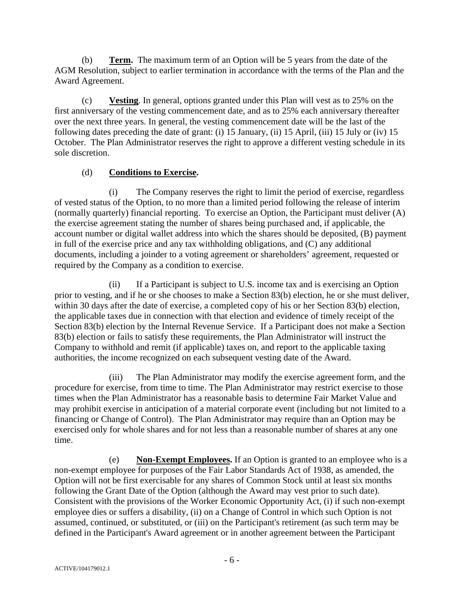<span id="page-5-0"></span>(b) **Term.** The maximum term of an Option will be 5 years from the date of the AGM Resolution, subject to earlier termination in accordance with the terms of the Plan and the Award Agreement.

(c) **Vesting**. In general, options granted under this Plan will vest as to 25% on the first anniversary of the vesting commencement date, and as to 25% each anniversary thereafter over the next three years. In general, the vesting commencement date will be the last of the following dates preceding the date of grant: (i) 15 January, (ii) 15 April, (iii) 15 July or (iv) 15 October. The Plan Administrator reserves the right to approve a different vesting schedule in its sole discretion.

## (d) **Conditions to Exercise.**

(i) The Company reserves the right to limit the period of exercise, regardless of vested status of the Option, to no more than a limited period following the release of interim (normally quarterly) financial reporting. To exercise an Option, the Participant must deliver (A) the exercise agreement stating the number of shares being purchased and, if applicable, the account number or digital wallet address into which the shares should be deposited, (B) payment in full of the exercise price and any tax withholding obligations, and (C) any additional documents, including a joinder to a voting agreement or shareholders' agreement, requested or required by the Company as a condition to exercise.

(ii) If a Participant is subject to U.S. income tax and is exercising an Option prior to vesting, and if he or she chooses to make a Section 83(b) election, he or she must deliver, within 30 days after the date of exercise, a completed copy of his or her Section 83(b) election, the applicable taxes due in connection with that election and evidence of timely receipt of the Section 83(b) election by the Internal Revenue Service. If a Participant does not make a Section 83(b) election or fails to satisfy these requirements, the Plan Administrator will instruct the Company to withhold and remit (if applicable) taxes on, and report to the applicable taxing authorities, the income recognized on each subsequent vesting date of the Award.

(iii) The Plan Administrator may modify the exercise agreement form, and the procedure for exercise, from time to time. The Plan Administrator may restrict exercise to those times when the Plan Administrator has a reasonable basis to determine Fair Market Value and may prohibit exercise in anticipation of a material corporate event (including but not limited to a financing or Change of Control). The Plan Administrator may require than an Option may be exercised only for whole shares and for not less than a reasonable number of shares at any one time.

(e) **Non-Exempt Employees.** If an Option is granted to an employee who is a non-exempt employee for purposes of the Fair Labor Standards Act of 1938, as amended, the Option will not be first exercisable for any shares of Common Stock until at least six months following the Grant Date of the Option (although the Award may vest prior to such date). Consistent with the provisions of the Worker Economic Opportunity Act, (i) if such non-exempt employee dies or suffers a disability, (ii) on a Change of Control in which such Option is not assumed, continued, or substituted, or (iii) on the Participant's retirement (as such term may be defined in the Participant's Award agreement or in another agreement between the Participant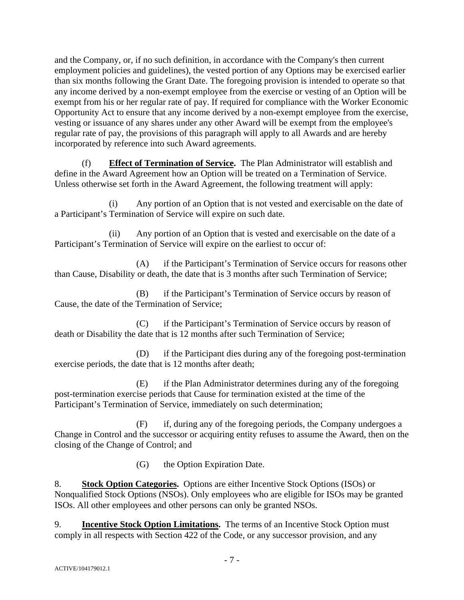and the Company, or, if no such definition, in accordance with the Company's then current employment policies and guidelines), the vested portion of any Options may be exercised earlier than six months following the Grant Date. The foregoing provision is intended to operate so that any income derived by a non-exempt employee from the exercise or vesting of an Option will be exempt from his or her regular rate of pay. If required for compliance with the Worker Economic Opportunity Act to ensure that any income derived by a non-exempt employee from the exercise, vesting or issuance of any shares under any other Award will be exempt from the employee's regular rate of pay, the provisions of this paragraph will apply to all Awards and are hereby incorporated by reference into such Award agreements.

(f) **Effect of Termination of Service.** The Plan Administrator will establish and define in the Award Agreement how an Option will be treated on a Termination of Service. Unless otherwise set forth in the Award Agreement, the following treatment will apply:

(i) Any portion of an Option that is not vested and exercisable on the date of a Participant's Termination of Service will expire on such date.

(ii) Any portion of an Option that is vested and exercisable on the date of a Participant's Termination of Service will expire on the earliest to occur of:

(A) if the Participant's Termination of Service occurs for reasons other than Cause, Disability or death, the date that is 3 months after such Termination of Service;

(B) if the Participant's Termination of Service occurs by reason of Cause, the date of the Termination of Service;

(C) if the Participant's Termination of Service occurs by reason of death or Disability the date that is 12 months after such Termination of Service;

(D) if the Participant dies during any of the foregoing post-termination exercise periods, the date that is 12 months after death;

(E) if the Plan Administrator determines during any of the foregoing post-termination exercise periods that Cause for termination existed at the time of the Participant's Termination of Service, immediately on such determination;

(F) if, during any of the foregoing periods, the Company undergoes a Change in Control and the successor or acquiring entity refuses to assume the Award, then on the closing of the Change of Control; and

(G) the Option Expiration Date.

<span id="page-6-0"></span>8. **Stock Option Categories.** Options are either Incentive Stock Options (ISOs) or Nonqualified Stock Options (NSOs). Only employees who are eligible for ISOs may be granted ISOs. All other employees and other persons can only be granted NSOs.

9. **Incentive Stock Option Limitations.** The terms of an Incentive Stock Option must comply in all respects with Section 422 of the Code, or any successor provision, and any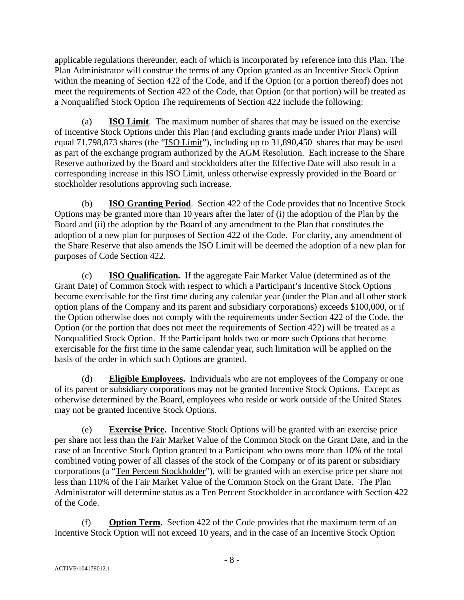applicable regulations thereunder, each of which is incorporated by reference into this Plan. The Plan Administrator will construe the terms of any Option granted as an Incentive Stock Option within the meaning of Section 422 of the Code, and if the Option (or a portion thereof) does not meet the requirements of Section 422 of the Code, that Option (or that portion) will be treated as a Nonqualified Stock Option The requirements of Section 422 include the following:

(a) **ISO Limit**. The maximum number of shares that may be issued on the exercise of Incentive Stock Options under this Plan (and excluding grants made under Prior Plans) will equal 71,798,873 shares (the "ISO Limit"), including up to 31,890,450 shares that may be used as part of the exchange program authorized by the AGM Resolution. Each increase to the Share Reserve authorized by the Board and stockholders after the Effective Date will also result in a corresponding increase in this ISO Limit, unless otherwise expressly provided in the Board or stockholder resolutions approving such increase.

(b) **ISO Granting Period**. Section 422 of the Code provides that no Incentive Stock Options may be granted more than 10 years after the later of (i) the adoption of the Plan by the Board and (ii) the adoption by the Board of any amendment to the Plan that constitutes the adoption of a new plan for purposes of Section 422 of the Code. For clarity, any amendment of the Share Reserve that also amends the ISO Limit will be deemed the adoption of a new plan for purposes of Code Section 422.

(c) **ISO Qualification.** If the aggregate Fair Market Value (determined as of the Grant Date) of Common Stock with respect to which a Participant's Incentive Stock Options become exercisable for the first time during any calendar year (under the Plan and all other stock option plans of the Company and its parent and subsidiary corporations) exceeds \$100,000, or if the Option otherwise does not comply with the requirements under Section 422 of the Code, the Option (or the portion that does not meet the requirements of Section 422) will be treated as a Nonqualified Stock Option. If the Participant holds two or more such Options that become exercisable for the first time in the same calendar year, such limitation will be applied on the basis of the order in which such Options are granted.

(d) **Eligible Employees.** Individuals who are not employees of the Company or one of its parent or subsidiary corporations may not be granted Incentive Stock Options. Except as otherwise determined by the Board, employees who reside or work outside of the United States may not be granted Incentive Stock Options.

(e) **Exercise Price.** Incentive Stock Options will be granted with an exercise price per share not less than the Fair Market Value of the Common Stock on the Grant Date, and in the case of an Incentive Stock Option granted to a Participant who owns more than 10% of the total combined voting power of all classes of the stock of the Company or of its parent or subsidiary corporations (a "Ten Percent Stockholder"), will be granted with an exercise price per share not less than 110% of the Fair Market Value of the Common Stock on the Grant Date. The Plan Administrator will determine status as a Ten Percent Stockholder in accordance with Section 422 of the Code.

(f) **Option Term.** Section 422 of the Code provides that the maximum term of an Incentive Stock Option will not exceed 10 years, and in the case of an Incentive Stock Option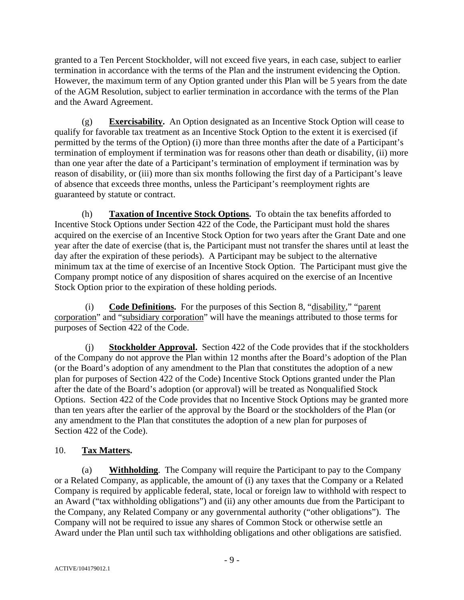granted to a Ten Percent Stockholder, will not exceed five years, in each case, subject to earlier termination in accordance with the terms of the Plan and the instrument evidencing the Option. However, the maximum term of any Option granted under this Plan will be 5 years from the date of the AGM Resolution, subject to earlier termination in accordance with the terms of the Plan and the Award Agreement.

(g) **Exercisability.** An Option designated as an Incentive Stock Option will cease to qualify for favorable tax treatment as an Incentive Stock Option to the extent it is exercised (if permitted by the terms of the Option) (i) more than three months after the date of a Participant's termination of employment if termination was for reasons other than death or disability, (ii) more than one year after the date of a Participant's termination of employment if termination was by reason of disability, or (iii) more than six months following the first day of a Participant's leave of absence that exceeds three months, unless the Participant's reemployment rights are guaranteed by statute or contract.

(h) **Taxation of Incentive Stock Options.** To obtain the tax benefits afforded to Incentive Stock Options under Section 422 of the Code, the Participant must hold the shares acquired on the exercise of an Incentive Stock Option for two years after the Grant Date and one year after the date of exercise (that is, the Participant must not transfer the shares until at least the day after the expiration of these periods). A Participant may be subject to the alternative minimum tax at the time of exercise of an Incentive Stock Option. The Participant must give the Company prompt notice of any disposition of shares acquired on the exercise of an Incentive Stock Option prior to the expiration of these holding periods.

(i) **Code Definitions.** For the purposes of this Section [8,](#page-6-0) "disability," "parent corporation" and "subsidiary corporation" will have the meanings attributed to those terms for purposes of Section 422 of the Code.

**Stockholder Approval.** Section 422 of the Code provides that if the stockholders of the Company do not approve the Plan within 12 months after the Board's adoption of the Plan (or the Board's adoption of any amendment to the Plan that constitutes the adoption of a new plan for purposes of Section 422 of the Code) Incentive Stock Options granted under the Plan after the date of the Board's adoption (or approval) will be treated as Nonqualified Stock Options. Section 422 of the Code provides that no Incentive Stock Options may be granted more than ten years after the earlier of the approval by the Board or the stockholders of the Plan (or any amendment to the Plan that constitutes the adoption of a new plan for purposes of Section 422 of the Code).

# 10. **Tax Matters.**

(a) **Withholding**. The Company will require the Participant to pay to the Company or a Related Company, as applicable, the amount of (i) any taxes that the Company or a Related Company is required by applicable federal, state, local or foreign law to withhold with respect to an Award ("tax withholding obligations") and (ii) any other amounts due from the Participant to the Company, any Related Company or any governmental authority ("other obligations"). The Company will not be required to issue any shares of Common Stock or otherwise settle an Award under the Plan until such tax withholding obligations and other obligations are satisfied.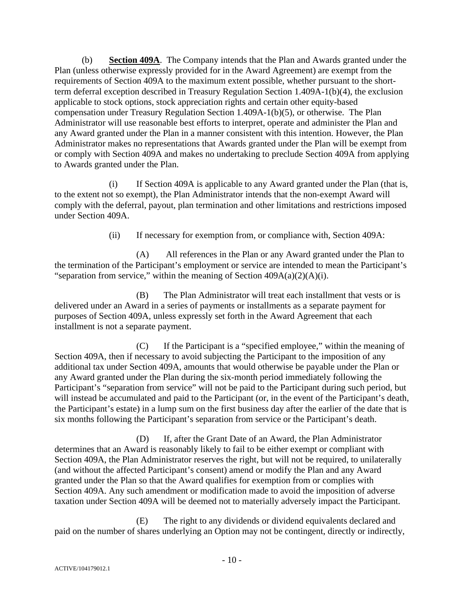(b) **Section 409A**. The Company intends that the Plan and Awards granted under the Plan (unless otherwise expressly provided for in the Award Agreement) are exempt from the requirements of Section 409A to the maximum extent possible, whether pursuant to the shortterm deferral exception described in Treasury Regulation Section 1.409A-1(b)(4), the exclusion applicable to stock options, stock appreciation rights and certain other equity-based compensation under Treasury Regulation Section 1.409A-1(b)(5), or otherwise. The Plan Administrator will use reasonable best efforts to interpret, operate and administer the Plan and any Award granted under the Plan in a manner consistent with this intention. However, the Plan Administrator makes no representations that Awards granted under the Plan will be exempt from or comply with Section 409A and makes no undertaking to preclude Section 409A from applying to Awards granted under the Plan.

(i) If Section 409A is applicable to any Award granted under the Plan (that is, to the extent not so exempt), the Plan Administrator intends that the non-exempt Award will comply with the deferral, payout, plan termination and other limitations and restrictions imposed under Section 409A.

(ii) If necessary for exemption from, or compliance with, Section 409A:

(A) All references in the Plan or any Award granted under the Plan to the termination of the Participant's employment or service are intended to mean the Participant's "separation from service," within the meaning of Section  $409A(a)(2)(A)(i)$ .

(B) The Plan Administrator will treat each installment that vests or is delivered under an Award in a series of payments or installments as a separate payment for purposes of Section 409A, unless expressly set forth in the Award Agreement that each installment is not a separate payment.

(C) If the Participant is a "specified employee," within the meaning of Section 409A, then if necessary to avoid subjecting the Participant to the imposition of any additional tax under Section 409A, amounts that would otherwise be payable under the Plan or any Award granted under the Plan during the six-month period immediately following the Participant's "separation from service" will not be paid to the Participant during such period, but will instead be accumulated and paid to the Participant (or, in the event of the Participant's death, the Participant's estate) in a lump sum on the first business day after the earlier of the date that is six months following the Participant's separation from service or the Participant's death.

(D) If, after the Grant Date of an Award, the Plan Administrator determines that an Award is reasonably likely to fail to be either exempt or compliant with Section 409A, the Plan Administrator reserves the right, but will not be required, to unilaterally (and without the affected Participant's consent) amend or modify the Plan and any Award granted under the Plan so that the Award qualifies for exemption from or complies with Section 409A. Any such amendment or modification made to avoid the imposition of adverse taxation under Section 409A will be deemed not to materially adversely impact the Participant.

(E) The right to any dividends or dividend equivalents declared and paid on the number of shares underlying an Option may not be contingent, directly or indirectly,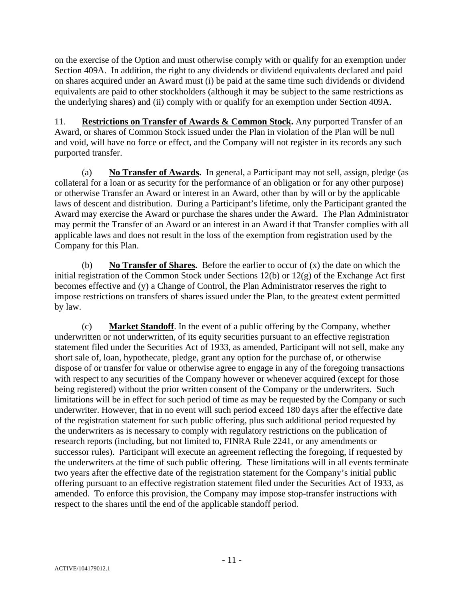on the exercise of the Option and must otherwise comply with or qualify for an exemption under Section 409A. In addition, the right to any dividends or dividend equivalents declared and paid on shares acquired under an Award must (i) be paid at the same time such dividends or dividend equivalents are paid to other stockholders (although it may be subject to the same restrictions as the underlying shares) and (ii) comply with or qualify for an exemption under Section 409A.

11. **Restrictions on Transfer of Awards & Common Stock.** Any purported Transfer of an Award, or shares of Common Stock issued under the Plan in violation of the Plan will be null and void, will have no force or effect, and the Company will not register in its records any such purported transfer.

(a) **No Transfer of Awards.** In general, a Participant may not sell, assign, pledge (as collateral for a loan or as security for the performance of an obligation or for any other purpose) or otherwise Transfer an Award or interest in an Award, other than by will or by the applicable laws of descent and distribution. During a Participant's lifetime, only the Participant granted the Award may exercise the Award or purchase the shares under the Award. The Plan Administrator may permit the Transfer of an Award or an interest in an Award if that Transfer complies with all applicable laws and does not result in the loss of the exemption from registration used by the Company for this Plan.

(b) **No Transfer of Shares.** Before the earlier to occur of (x) the date on which the initial registration of the Common Stock under Sections 12(b) or 12(g) of the Exchange Act first becomes effective and (y) a Change of Control, the Plan Administrator reserves the right to impose restrictions on transfers of shares issued under the Plan, to the greatest extent permitted by law.

(c) **Market Standoff**. In the event of a public offering by the Company, whether underwritten or not underwritten, of its equity securities pursuant to an effective registration statement filed under the Securities Act of 1933, as amended, Participant will not sell, make any short sale of, loan, hypothecate, pledge, grant any option for the purchase of, or otherwise dispose of or transfer for value or otherwise agree to engage in any of the foregoing transactions with respect to any securities of the Company however or whenever acquired (except for those being registered) without the prior written consent of the Company or the underwriters. Such limitations will be in effect for such period of time as may be requested by the Company or such underwriter. However, that in no event will such period exceed 180 days after the effective date of the registration statement for such public offering, plus such additional period requested by the underwriters as is necessary to comply with regulatory restrictions on the publication of research reports (including, but not limited to, FINRA Rule 2241, or any amendments or successor rules). Participant will execute an agreement reflecting the foregoing, if requested by the underwriters at the time of such public offering. These limitations will in all events terminate two years after the effective date of the registration statement for the Company's initial public offering pursuant to an effective registration statement filed under the Securities Act of 1933, as amended. To enforce this provision, the Company may impose stop-transfer instructions with respect to the shares until the end of the applicable standoff period.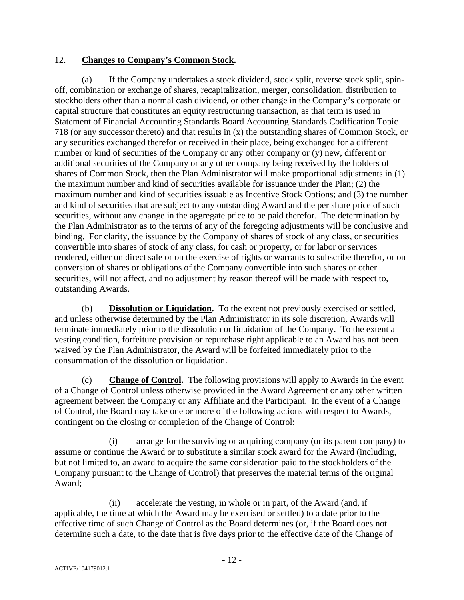### 12. **Changes to Company's Common Stock.**

(a) If the Company undertakes a stock dividend, stock split, reverse stock split, spinoff, combination or exchange of shares, recapitalization, merger, consolidation, distribution to stockholders other than a normal cash dividend, or other change in the Company's corporate or capital structure that constitutes an equity restructuring transaction, as that term is used in Statement of Financial Accounting Standards Board Accounting Standards Codification Topic 718 (or any successor thereto) and that results in (x) the outstanding shares of Common Stock, or any securities exchanged therefor or received in their place, being exchanged for a different number or kind of securities of the Company or any other company or (y) new, different or additional securities of the Company or any other company being received by the holders of shares of Common Stock, then the Plan Administrator will make proportional adjustments in (1) the maximum number and kind of securities available for issuance under the Plan; (2) the maximum number and kind of securities issuable as Incentive Stock Options; and (3) the number and kind of securities that are subject to any outstanding Award and the per share price of such securities, without any change in the aggregate price to be paid therefor. The determination by the Plan Administrator as to the terms of any of the foregoing adjustments will be conclusive and binding. For clarity, the issuance by the Company of shares of stock of any class, or securities convertible into shares of stock of any class, for cash or property, or for labor or services rendered, either on direct sale or on the exercise of rights or warrants to subscribe therefor, or on conversion of shares or obligations of the Company convertible into such shares or other securities, will not affect, and no adjustment by reason thereof will be made with respect to, outstanding Awards.

(b) **Dissolution or Liquidation.** To the extent not previously exercised or settled, and unless otherwise determined by the Plan Administrator in its sole discretion, Awards will terminate immediately prior to the dissolution or liquidation of the Company. To the extent a vesting condition, forfeiture provision or repurchase right applicable to an Award has not been waived by the Plan Administrator, the Award will be forfeited immediately prior to the consummation of the dissolution or liquidation.

(c) **Change of Control.** The following provisions will apply to Awards in the event of a Change of Control unless otherwise provided in the Award Agreement or any other written agreement between the Company or any Affiliate and the Participant. In the event of a Change of Control, the Board may take one or more of the following actions with respect to Awards, contingent on the closing or completion of the Change of Control:

(i) arrange for the surviving or acquiring company (or its parent company) to assume or continue the Award or to substitute a similar stock award for the Award (including, but not limited to, an award to acquire the same consideration paid to the stockholders of the Company pursuant to the Change of Control) that preserves the material terms of the original Award;

(ii) accelerate the vesting, in whole or in part, of the Award (and, if applicable, the time at which the Award may be exercised or settled) to a date prior to the effective time of such Change of Control as the Board determines (or, if the Board does not determine such a date, to the date that is five days prior to the effective date of the Change of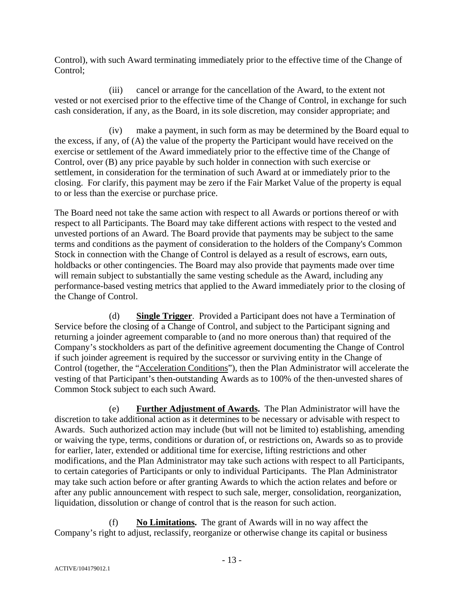Control), with such Award terminating immediately prior to the effective time of the Change of Control;

(iii) cancel or arrange for the cancellation of the Award, to the extent not vested or not exercised prior to the effective time of the Change of Control, in exchange for such cash consideration, if any, as the Board, in its sole discretion, may consider appropriate; and

(iv) make a payment, in such form as may be determined by the Board equal to the excess, if any, of (A) the value of the property the Participant would have received on the exercise or settlement of the Award immediately prior to the effective time of the Change of Control, over (B) any price payable by such holder in connection with such exercise or settlement, in consideration for the termination of such Award at or immediately prior to the closing. For clarify, this payment may be zero if the Fair Market Value of the property is equal to or less than the exercise or purchase price.

The Board need not take the same action with respect to all Awards or portions thereof or with respect to all Participants. The Board may take different actions with respect to the vested and unvested portions of an Award. The Board provide that payments may be subject to the same terms and conditions as the payment of consideration to the holders of the Company's Common Stock in connection with the Change of Control is delayed as a result of escrows, earn outs, holdbacks or other contingencies. The Board may also provide that payments made over time will remain subject to substantially the same vesting schedule as the Award, including any performance-based vesting metrics that applied to the Award immediately prior to the closing of the Change of Control.

(d) **Single Trigger**. Provided a Participant does not have a Termination of Service before the closing of a Change of Control, and subject to the Participant signing and returning a joinder agreement comparable to (and no more onerous than) that required of the Company's stockholders as part of the definitive agreement documenting the Change of Control if such joinder agreement is required by the successor or surviving entity in the Change of Control (together, the "Acceleration Conditions"), then the Plan Administrator will accelerate the vesting of that Participant's then-outstanding Awards as to 100% of the then-unvested shares of Common Stock subject to each such Award.

(e) **Further Adjustment of Awards.** The Plan Administrator will have the discretion to take additional action as it determines to be necessary or advisable with respect to Awards. Such authorized action may include (but will not be limited to) establishing, amending or waiving the type, terms, conditions or duration of, or restrictions on, Awards so as to provide for earlier, later, extended or additional time for exercise, lifting restrictions and other modifications, and the Plan Administrator may take such actions with respect to all Participants, to certain categories of Participants or only to individual Participants. The Plan Administrator may take such action before or after granting Awards to which the action relates and before or after any public announcement with respect to such sale, merger, consolidation, reorganization, liquidation, dissolution or change of control that is the reason for such action.

(f) **No Limitations.** The grant of Awards will in no way affect the Company's right to adjust, reclassify, reorganize or otherwise change its capital or business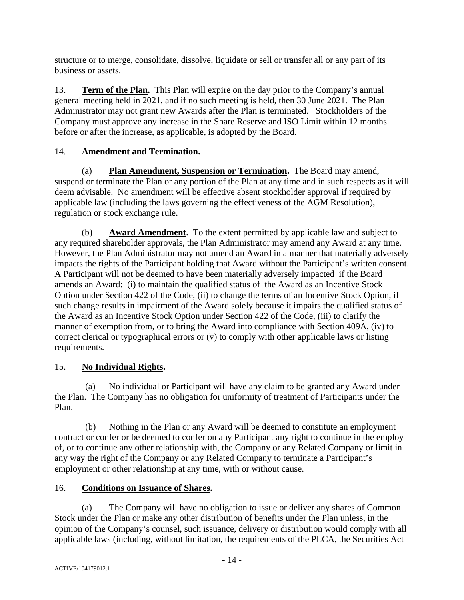structure or to merge, consolidate, dissolve, liquidate or sell or transfer all or any part of its business or assets.

13. **Term of the Plan.** This Plan will expire on the day prior to the Company's annual general meeting held in 2021, and if no such meeting is held, then 30 June 2021. The Plan Administrator may not grant new Awards after the Plan is terminated. Stockholders of the Company must approve any increase in the Share Reserve and ISO Limit within 12 months before or after the increase, as applicable, is adopted by the Board.

# 14. **Amendment and Termination.**

(a) **Plan Amendment, Suspension or Termination.** The Board may amend, suspend or terminate the Plan or any portion of the Plan at any time and in such respects as it will deem advisable. No amendment will be effective absent stockholder approval if required by applicable law (including the laws governing the effectiveness of the AGM Resolution), regulation or stock exchange rule.

(b) **Award Amendment**. To the extent permitted by applicable law and subject to any required shareholder approvals, the Plan Administrator may amend any Award at any time. However, the Plan Administrator may not amend an Award in a manner that materially adversely impacts the rights of the Participant holding that Award without the Participant's written consent. A Participant will not be deemed to have been materially adversely impacted if the Board amends an Award: (i) to maintain the qualified status of the Award as an Incentive Stock Option under Section 422 of the Code, (ii) to change the terms of an Incentive Stock Option, if such change results in impairment of the Award solely because it impairs the qualified status of the Award as an Incentive Stock Option under Section 422 of the Code, (iii) to clarify the manner of exemption from, or to bring the Award into compliance with Section 409A, (iv) to correct clerical or typographical errors or (v) to comply with other applicable laws or listing requirements.

# 15. **No Individual Rights.**

(a) No individual or Participant will have any claim to be granted any Award under the Plan. The Company has no obligation for uniformity of treatment of Participants under the Plan.

(b) Nothing in the Plan or any Award will be deemed to constitute an employment contract or confer or be deemed to confer on any Participant any right to continue in the employ of, or to continue any other relationship with, the Company or any Related Company or limit in any way the right of the Company or any Related Company to terminate a Participant's employment or other relationship at any time, with or without cause.

### 16. **Conditions on Issuance of Shares.**

(a) The Company will have no obligation to issue or deliver any shares of Common Stock under the Plan or make any other distribution of benefits under the Plan unless, in the opinion of the Company's counsel, such issuance, delivery or distribution would comply with all applicable laws (including, without limitation, the requirements of the PLCA, the Securities Act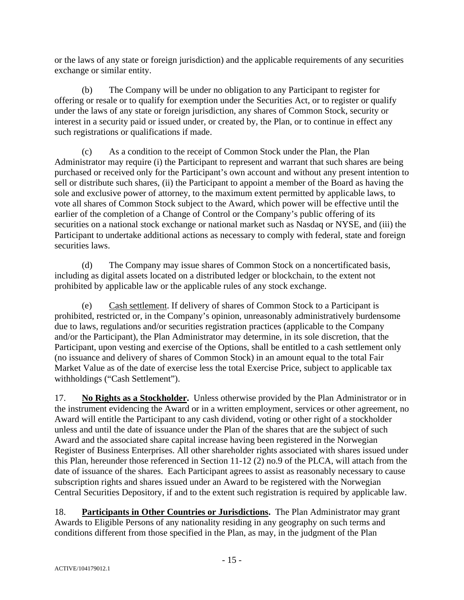or the laws of any state or foreign jurisdiction) and the applicable requirements of any securities exchange or similar entity.

(b) The Company will be under no obligation to any Participant to register for offering or resale or to qualify for exemption under the Securities Act, or to register or qualify under the laws of any state or foreign jurisdiction, any shares of Common Stock, security or interest in a security paid or issued under, or created by, the Plan, or to continue in effect any such registrations or qualifications if made.

(c) As a condition to the receipt of Common Stock under the Plan, the Plan Administrator may require (i) the Participant to represent and warrant that such shares are being purchased or received only for the Participant's own account and without any present intention to sell or distribute such shares, (ii) the Participant to appoint a member of the Board as having the sole and exclusive power of attorney, to the maximum extent permitted by applicable laws, to vote all shares of Common Stock subject to the Award, which power will be effective until the earlier of the completion of a Change of Control or the Company's public offering of its securities on a national stock exchange or national market such as Nasdaq or NYSE, and (iii) the Participant to undertake additional actions as necessary to comply with federal, state and foreign securities laws.

(d) The Company may issue shares of Common Stock on a noncertificated basis, including as digital assets located on a distributed ledger or blockchain, to the extent not prohibited by applicable law or the applicable rules of any stock exchange.

(e) Cash settlement. If delivery of shares of Common Stock to a Participant is prohibited, restricted or, in the Company's opinion, unreasonably administratively burdensome due to laws, regulations and/or securities registration practices (applicable to the Company and/or the Participant), the Plan Administrator may determine, in its sole discretion, that the Participant, upon vesting and exercise of the Options, shall be entitled to a cash settlement only (no issuance and delivery of shares of Common Stock) in an amount equal to the total Fair Market Value as of the date of exercise less the total Exercise Price, subject to applicable tax withholdings ("Cash Settlement").

17. **No Rights as a Stockholder.** Unless otherwise provided by the Plan Administrator or in the instrument evidencing the Award or in a written employment, services or other agreement, no Award will entitle the Participant to any cash dividend, voting or other right of a stockholder unless and until the date of issuance under the Plan of the shares that are the subject of such Award and the associated share capital increase having been registered in the Norwegian Register of Business Enterprises. All other shareholder rights associated with shares issued under this Plan, hereunder those referenced in Section 11-12 (2) no.9 of the PLCA, will attach from the date of issuance of the shares. Each Participant agrees to assist as reasonably necessary to cause subscription rights and shares issued under an Award to be registered with the Norwegian Central Securities Depository, if and to the extent such registration is required by applicable law.

18. **Participants in Other Countries or Jurisdictions.** The Plan Administrator may grant Awards to Eligible Persons of any nationality residing in any geography on such terms and conditions different from those specified in the Plan, as may, in the judgment of the Plan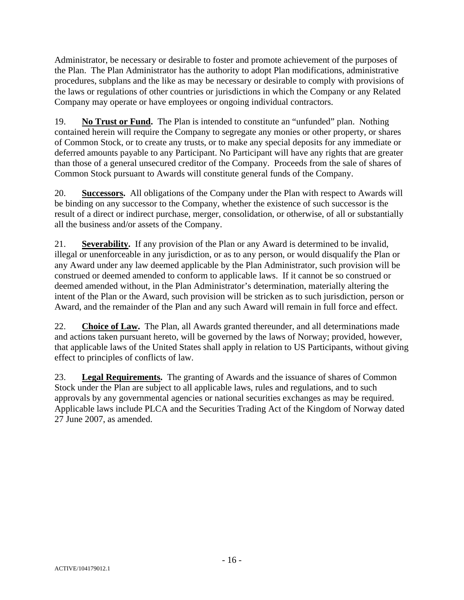Administrator, be necessary or desirable to foster and promote achievement of the purposes of the Plan. The Plan Administrator has the authority to adopt Plan modifications, administrative procedures, subplans and the like as may be necessary or desirable to comply with provisions of the laws or regulations of other countries or jurisdictions in which the Company or any Related Company may operate or have employees or ongoing individual contractors.

19. **No Trust or Fund.** The Plan is intended to constitute an "unfunded" plan. Nothing contained herein will require the Company to segregate any monies or other property, or shares of Common Stock, or to create any trusts, or to make any special deposits for any immediate or deferred amounts payable to any Participant. No Participant will have any rights that are greater than those of a general unsecured creditor of the Company. Proceeds from the sale of shares of Common Stock pursuant to Awards will constitute general funds of the Company.

20. **Successors.** All obligations of the Company under the Plan with respect to Awards will be binding on any successor to the Company, whether the existence of such successor is the result of a direct or indirect purchase, merger, consolidation, or otherwise, of all or substantially all the business and/or assets of the Company.

21. **Severability.** If any provision of the Plan or any Award is determined to be invalid, illegal or unenforceable in any jurisdiction, or as to any person, or would disqualify the Plan or any Award under any law deemed applicable by the Plan Administrator, such provision will be construed or deemed amended to conform to applicable laws. If it cannot be so construed or deemed amended without, in the Plan Administrator's determination, materially altering the intent of the Plan or the Award, such provision will be stricken as to such jurisdiction, person or Award, and the remainder of the Plan and any such Award will remain in full force and effect.

22. **Choice of Law.** The Plan, all Awards granted thereunder, and all determinations made and actions taken pursuant hereto, will be governed by the laws of Norway; provided, however, that applicable laws of the United States shall apply in relation to US Participants, without giving effect to principles of conflicts of law.

23. **Legal Requirements.** The granting of Awards and the issuance of shares of Common Stock under the Plan are subject to all applicable laws, rules and regulations, and to such approvals by any governmental agencies or national securities exchanges as may be required. Applicable laws include PLCA and the Securities Trading Act of the Kingdom of Norway dated 27 June 2007, as amended.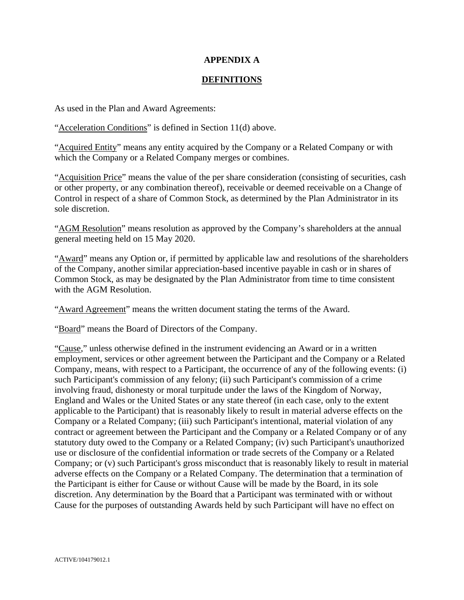### **APPENDIX A**

### **DEFINITIONS**

As used in the Plan and Award Agreements:

"Acceleration Conditions" is defined in Section 11(d) above.

"Acquired Entity" means any entity acquired by the Company or a Related Company or with which the Company or a Related Company merges or combines.

"Acquisition Price" means the value of the per share consideration (consisting of securities, cash or other property, or any combination thereof), receivable or deemed receivable on a Change of Control in respect of a share of Common Stock, as determined by the Plan Administrator in its sole discretion.

"AGM Resolution" means resolution as approved by the Company's shareholders at the annual general meeting held on 15 May 2020.

"Award" means any Option or, if permitted by applicable law and resolutions of the shareholders of the Company, another similar appreciation-based incentive payable in cash or in shares of Common Stock, as may be designated by the Plan Administrator from time to time consistent with the AGM Resolution.

"Award Agreement" means the written document stating the terms of the Award.

"Board" means the Board of Directors of the Company.

"Cause," unless otherwise defined in the instrument evidencing an Award or in a written employment, services or other agreement between the Participant and the Company or a Related Company, means, with respect to a Participant, the occurrence of any of the following events: (i) such Participant's commission of any felony; (ii) such Participant's commission of a crime involving fraud, dishonesty or moral turpitude under the laws of the Kingdom of Norway, England and Wales or the United States or any state thereof (in each case, only to the extent applicable to the Participant) that is reasonably likely to result in material adverse effects on the Company or a Related Company; (iii) such Participant's intentional, material violation of any contract or agreement between the Participant and the Company or a Related Company or of any statutory duty owed to the Company or a Related Company; (iv) such Participant's unauthorized use or disclosure of the confidential information or trade secrets of the Company or a Related Company; or (v) such Participant's gross misconduct that is reasonably likely to result in material adverse effects on the Company or a Related Company. The determination that a termination of the Participant is either for Cause or without Cause will be made by the Board, in its sole discretion. Any determination by the Board that a Participant was terminated with or without Cause for the purposes of outstanding Awards held by such Participant will have no effect on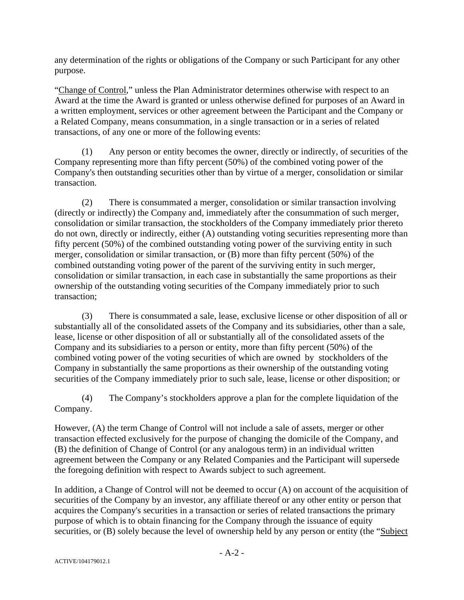any determination of the rights or obligations of the Company or such Participant for any other purpose.

"Change of Control," unless the Plan Administrator determines otherwise with respect to an Award at the time the Award is granted or unless otherwise defined for purposes of an Award in a written employment, services or other agreement between the Participant and the Company or a Related Company, means consummation, in a single transaction or in a series of related transactions, of any one or more of the following events:

(1) Any person or entity becomes the owner, directly or indirectly, of securities of the Company representing more than fifty percent (50%) of the combined voting power of the Company's then outstanding securities other than by virtue of a merger, consolidation or similar transaction.

(2) There is consummated a merger, consolidation or similar transaction involving (directly or indirectly) the Company and, immediately after the consummation of such merger, consolidation or similar transaction, the stockholders of the Company immediately prior thereto do not own, directly or indirectly, either (A) outstanding voting securities representing more than fifty percent (50%) of the combined outstanding voting power of the surviving entity in such merger, consolidation or similar transaction, or (B) more than fifty percent (50%) of the combined outstanding voting power of the parent of the surviving entity in such merger, consolidation or similar transaction, in each case in substantially the same proportions as their ownership of the outstanding voting securities of the Company immediately prior to such transaction;

(3) There is consummated a sale, lease, exclusive license or other disposition of all or substantially all of the consolidated assets of the Company and its subsidiaries, other than a sale, lease, license or other disposition of all or substantially all of the consolidated assets of the Company and its subsidiaries to a person or entity, more than fifty percent (50%) of the combined voting power of the voting securities of which are owned by stockholders of the Company in substantially the same proportions as their ownership of the outstanding voting securities of the Company immediately prior to such sale, lease, license or other disposition; or

(4) The Company's stockholders approve a plan for the complete liquidation of the Company.

However, (A) the term Change of Control will not include a sale of assets, merger or other transaction effected exclusively for the purpose of changing the domicile of the Company, and (B) the definition of Change of Control (or any analogous term) in an individual written agreement between the Company or any Related Companies and the Participant will supersede the foregoing definition with respect to Awards subject to such agreement.

In addition, a Change of Control will not be deemed to occur (A) on account of the acquisition of securities of the Company by an investor, any affiliate thereof or any other entity or person that acquires the Company's securities in a transaction or series of related transactions the primary purpose of which is to obtain financing for the Company through the issuance of equity securities, or (B) solely because the level of ownership held by any person or entity (the "Subject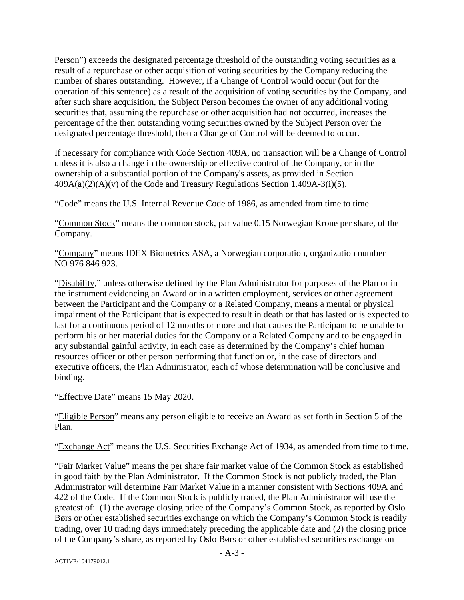Person") exceeds the designated percentage threshold of the outstanding voting securities as a result of a repurchase or other acquisition of voting securities by the Company reducing the number of shares outstanding. However, if a Change of Control would occur (but for the operation of this sentence) as a result of the acquisition of voting securities by the Company, and after such share acquisition, the Subject Person becomes the owner of any additional voting securities that, assuming the repurchase or other acquisition had not occurred, increases the percentage of the then outstanding voting securities owned by the Subject Person over the designated percentage threshold, then a Change of Control will be deemed to occur.

If necessary for compliance with Code Section 409A, no transaction will be a Change of Control unless it is also a change in the ownership or effective control of the Company, or in the ownership of a substantial portion of the Company's assets, as provided in Section  $409A(a)(2)(A)(v)$  of the Code and Treasury Regulations Section 1.409A-3(i)(5).

"Code" means the U.S. Internal Revenue Code of 1986, as amended from time to time.

"Common Stock" means the common stock, par value 0.15 Norwegian Krone per share, of the Company.

"Company" means IDEX Biometrics ASA, a Norwegian corporation, organization number NO 976 846 923.

"Disability," unless otherwise defined by the Plan Administrator for purposes of the Plan or in the instrument evidencing an Award or in a written employment, services or other agreement between the Participant and the Company or a Related Company, means a mental or physical impairment of the Participant that is expected to result in death or that has lasted or is expected to last for a continuous period of 12 months or more and that causes the Participant to be unable to perform his or her material duties for the Company or a Related Company and to be engaged in any substantial gainful activity, in each case as determined by the Company's chief human resources officer or other person performing that function or, in the case of directors and executive officers, the Plan Administrator, each of whose determination will be conclusive and binding.

"Effective Date" means 15 May 2020.

"Eligible Person" means any person eligible to receive an Award as set forth in Section [5](#page-2-0) of the Plan.

"Exchange Act" means the U.S. Securities Exchange Act of 1934, as amended from time to time.

"Fair Market Value" means the per share fair market value of the Common Stock as established in good faith by the Plan Administrator. If the Common Stock is not publicly traded, the Plan Administrator will determine Fair Market Value in a manner consistent with Sections 409A and 422 of the Code. If the Common Stock is publicly traded, the Plan Administrator will use the greatest of: (1) the average closing price of the Company's Common Stock, as reported by Oslo Børs or other established securities exchange on which the Company's Common Stock is readily trading, over 10 trading days immediately preceding the applicable date and (2) the closing price of the Company's share, as reported by Oslo Børs or other established securities exchange on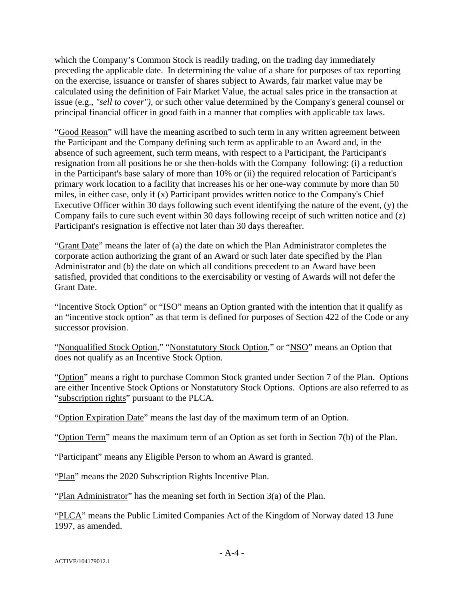which the Company's Common Stock is readily trading, on the trading day immediately preceding the applicable date. In determining the value of a share for purposes of tax reporting on the exercise, issuance or transfer of shares subject to Awards, fair market value may be calculated using the definition of Fair Market Value, the actual sales price in the transaction at issue (e.g., *"sell to cover"),* or such other value determined by the Company's general counsel or principal financial officer in good faith in a manner that complies with applicable tax laws.

"Good Reason" will have the meaning ascribed to such term in any written agreement between the Participant and the Company defining such term as applicable to an Award and, in the absence of such agreement, such term means, with respect to a Participant, the Participant's resignation from all positions he or she then-holds with the Company following: (i) a reduction in the Participant's base salary of more than 10% or (ii) the required relocation of Participant's primary work location to a facility that increases his or her one-way commute by more than 50 miles, in either case, only if (x) Participant provides written notice to the Company's Chief Executive Officer within 30 days following such event identifying the nature of the event, (y) the Company fails to cure such event within 30 days following receipt of such written notice and (z) Participant's resignation is effective not later than 30 days thereafter.

"Grant Date" means the later of (a) the date on which the Plan Administrator completes the corporate action authorizing the grant of an Award or such later date specified by the Plan Administrator and (b) the date on which all conditions precedent to an Award have been satisfied, provided that conditions to the exercisability or vesting of Awards will not defer the Grant Date.

"Incentive Stock Option" or "ISO" means an Option granted with the intention that it qualify as an "incentive stock option" as that term is defined for purposes of Section 422 of the Code or any successor provision.

"Nonqualified Stock Option," "Nonstatutory Stock Option," or "NSO" means an Option that does not qualify as an Incentive Stock Option.

"Option" means a right to purchase Common Stock granted under Section [7](#page-4-0) of the Plan. Options are either Incentive Stock Options or Nonstatutory Stock Options. Options are also referred to as "subscription rights" pursuant to the PLCA.

"Option Expiration Date" means the last day of the maximum term of an Option.

"Option Term" means the maximum term of an Option as set forth in Section [7\(b\)](#page-5-0) of the Plan.

"Participant" means any Eligible Person to whom an Award is granted.

"Plan" means the 2020 Subscription Rights Incentive Plan.

"Plan Administrator" has the meaning set forth in Section [3\(a\)](#page-0-0) of the Plan.

"PLCA" means the Public Limited Companies Act of the Kingdom of Norway dated 13 June 1997, as amended.